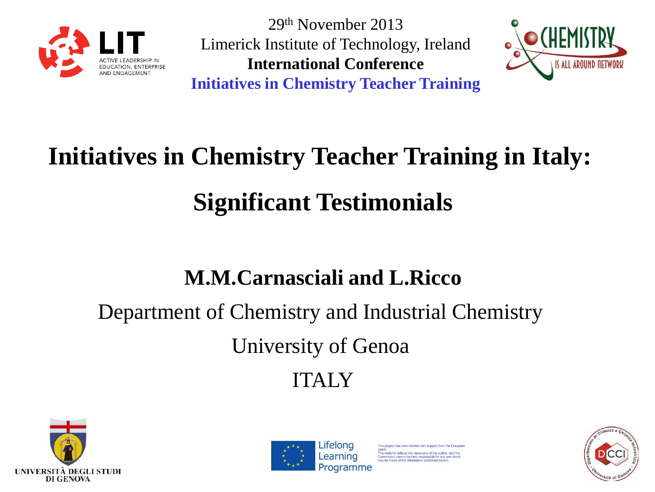

29th November 2013 Limerick Institute of Technology, Ireland **International Conference Initiatives in Chemistry Teacher Training**



# **Initiatives in Chemistry Teacher Training in Italy: Significant Testimonials**

#### **M.M.Carnasciali and L.Ricco**

### Department of Chemistry and Industrial Chemistry

University of Genoa

#### ITALY





as been funded with support from the Europer his material reflects the views only of the author, and the mmission cannot be held responsible for any use which<br>whe made of the information contained therein

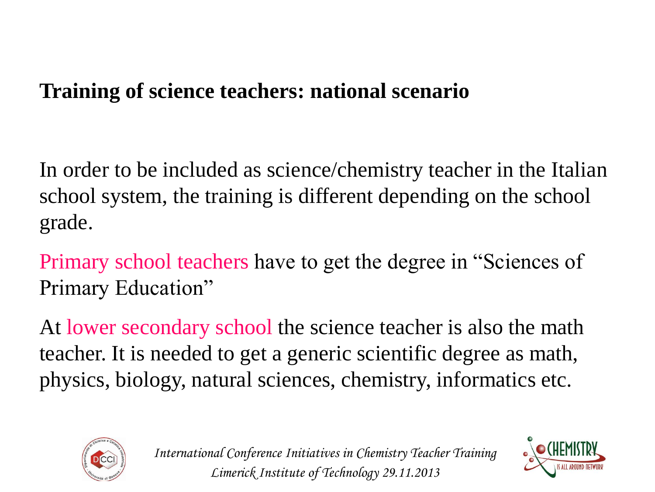In order to be included as science/chemistry teacher in the Italian school system, the training is different depending on the school grade.

Primary school teachers have to get the degree in "Sciences of Primary Education"

At lower secondary school the science teacher is also the math teacher. It is needed to get a generic scientific degree as math, physics, biology, natural sciences, chemistry, informatics etc.



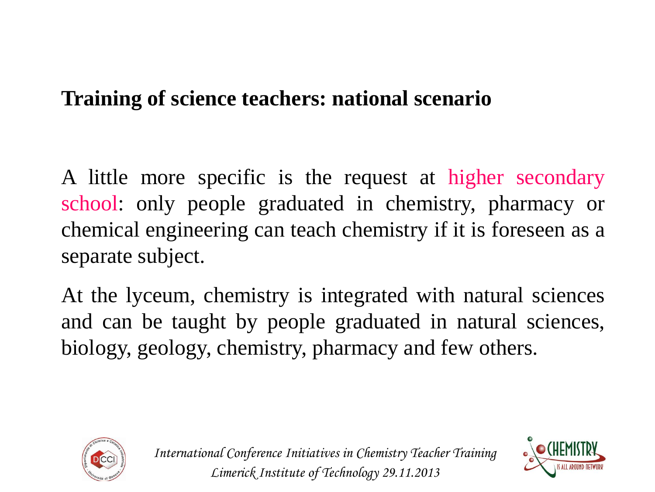A little more specific is the request at higher secondary school: only people graduated in chemistry, pharmacy or chemical engineering can teach chemistry if it is foreseen as a separate subject.

At the lyceum, chemistry is integrated with natural sciences and can be taught by people graduated in natural sciences, biology, geology, chemistry, pharmacy and few others.



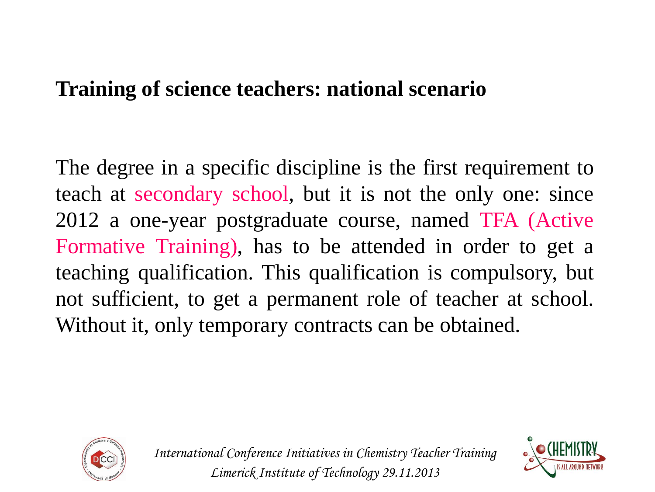The degree in a specific discipline is the first requirement to teach at secondary school, but it is not the only one: since 2012 a one-year postgraduate course, named TFA (Active Formative Training), has to be attended in order to get a teaching qualification. This qualification is compulsory, but not sufficient, to get a permanent role of teacher at school. Without it, only temporary contracts can be obtained.



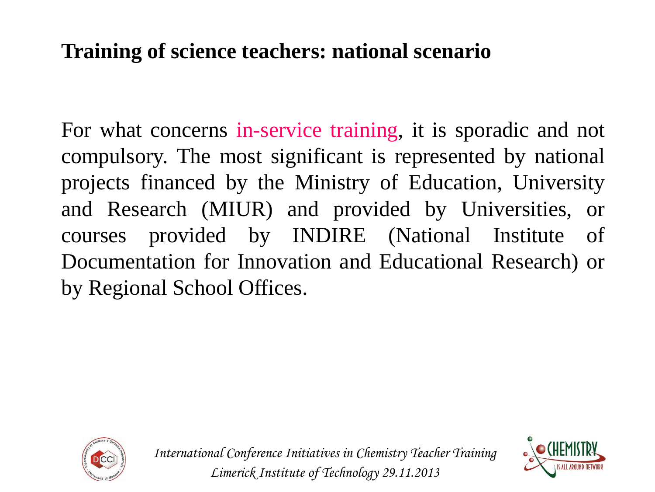For what concerns in-service training, it is sporadic and not compulsory. The most significant is represented by national projects financed by the Ministry of Education, University and Research (MIUR) and provided by Universities, or courses provided by INDIRE (National Institute of Documentation for Innovation and Educational Research) or by Regional School Offices.



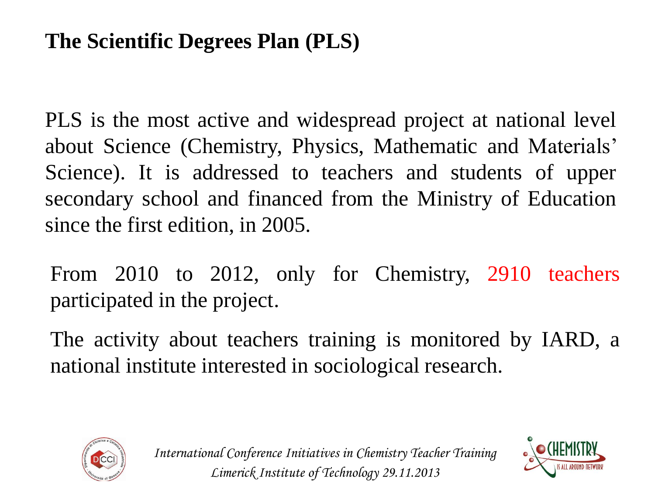#### **The Scientific Degrees Plan (PLS)**

PLS is the most active and widespread project at national level about Science (Chemistry, Physics, Mathematic and Materials' Science). It is addressed to teachers and students of upper secondary school and financed from the Ministry of Education since the first edition, in 2005.

From 2010 to 2012, only for Chemistry, 2910 teachers participated in the project.

The activity about teachers training is monitored by IARD, a national institute interested in sociological research.



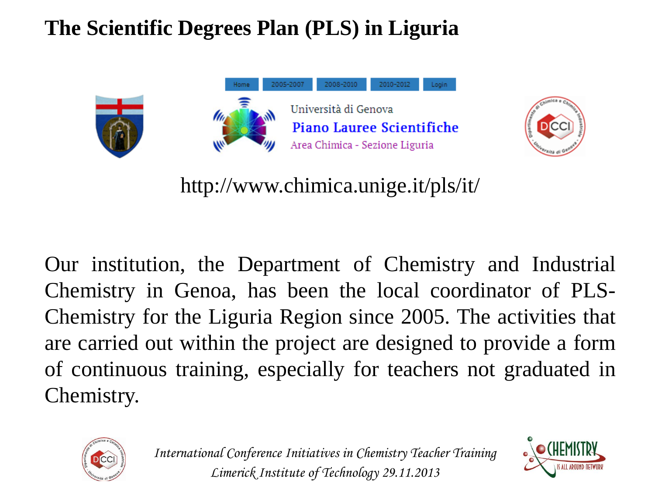



http://www.chimica.unige.it/pls/it/

Our institution, the Department of Chemistry and Industrial Chemistry in Genoa, has been the local coordinator of PLS-Chemistry for the Liguria Region since 2005. The activities that are carried out within the project are designed to provide a form of continuous training, especially for teachers not graduated in Chemistry.



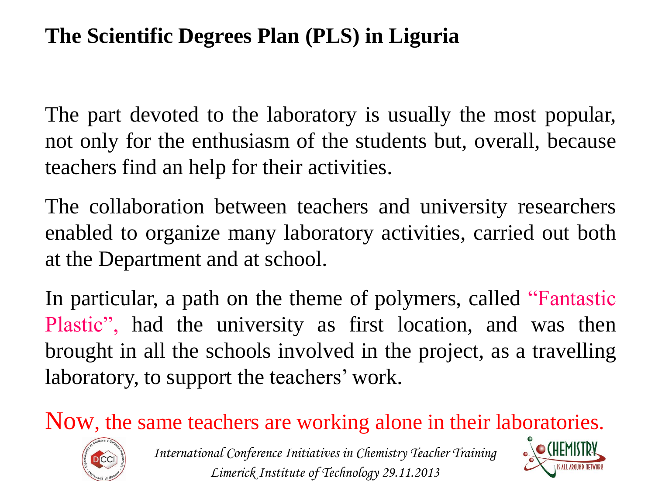The part devoted to the laboratory is usually the most popular, not only for the enthusiasm of the students but, overall, because teachers find an help for their activities.

The collaboration between teachers and university researchers enabled to organize many laboratory activities, carried out both at the Department and at school.

In particular, a path on the theme of polymers, called "Fantastic Plastic", had the university as first location, and was then brought in all the schools involved in the project, as a travelling laboratory, to support the teachers' work.

Now, the same teachers are working alone in their laboratories.



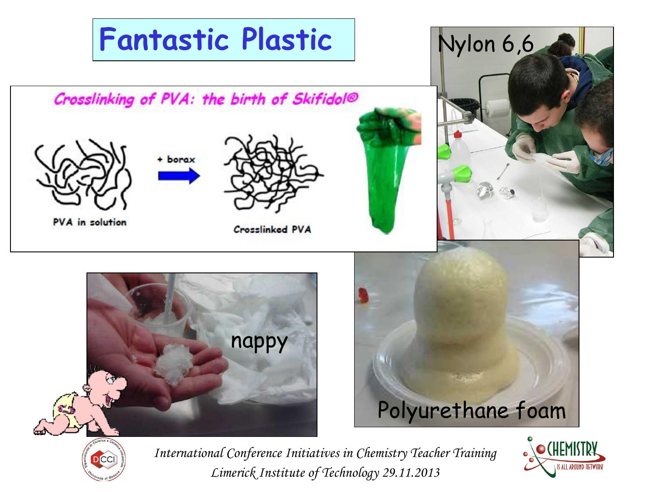

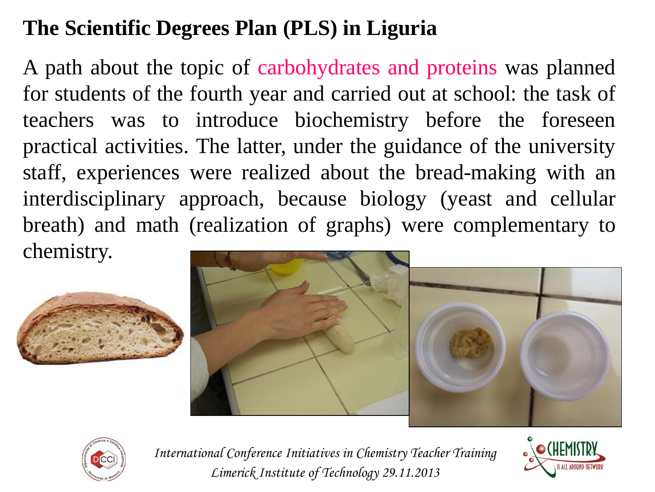A path about the topic of carbohydrates and proteins was planned for students of the fourth year and carried out at school: the task of teachers was to introduce biochemistry before the foreseen practical activities. The latter, under the guidance of the university staff, experiences were realized about the bread-making with an interdisciplinary approach, because biology (yeast and cellular breath) and math (realization of graphs) were complementary to chemistry.







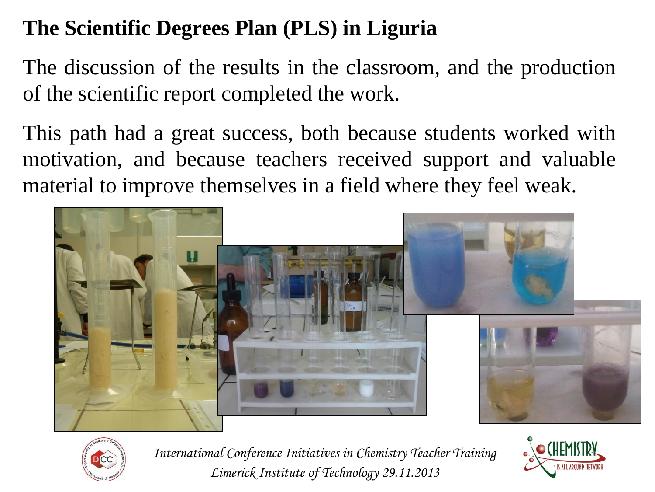The discussion of the results in the classroom, and the production of the scientific report completed the work.

This path had a great success, both because students worked with motivation, and because teachers received support and valuable material to improve themselves in a field where they feel weak.





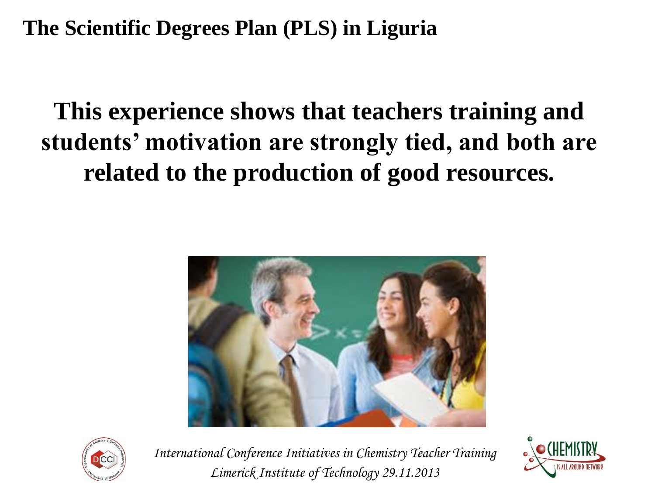## **This experience shows that teachers training and students' motivation are strongly tied, and both are related to the production of good resources.**





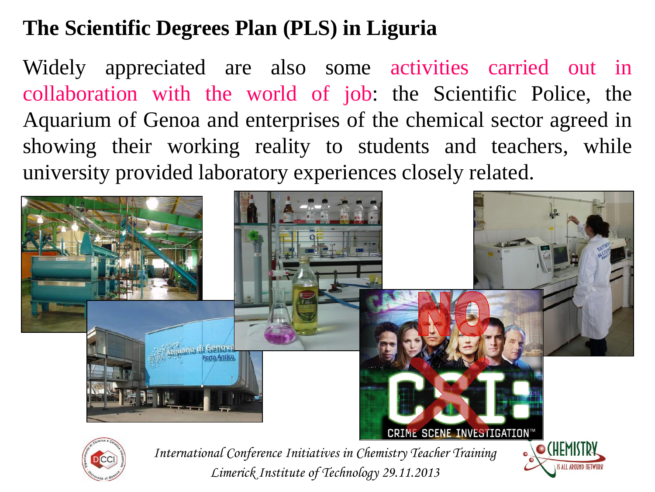Widely appreciated are also some activities carried out in collaboration with the world of job: the Scientific Police, the Aquarium of Genoa and enterprises of the chemical sector agreed in showing their working reality to students and teachers, while university provided laboratory experiences closely related.

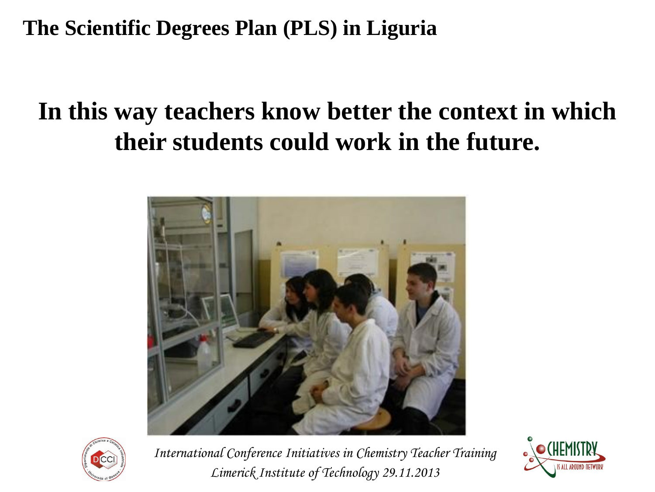## **In this way teachers know better the context in which their students could work in the future.**





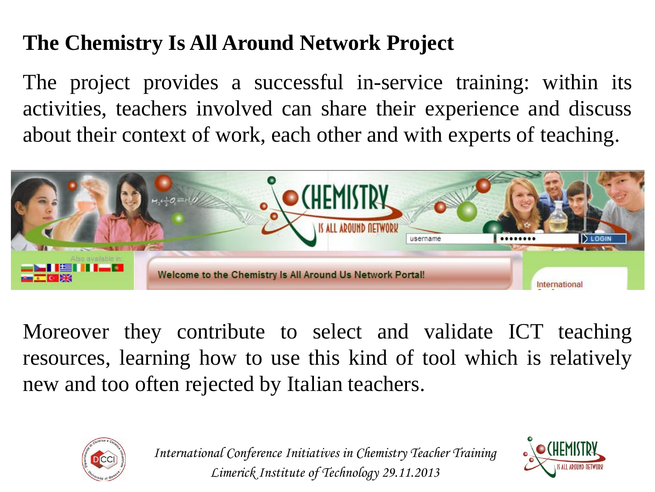#### **The Chemistry Is All Around Network Project**

The project provides a successful in-service training: within its activities, teachers involved can share their experience and discuss about their context of work, each other and with experts of teaching.



Moreover they contribute to select and validate ICT teaching resources, learning how to use this kind of tool which is relatively new and too often rejected by Italian teachers.



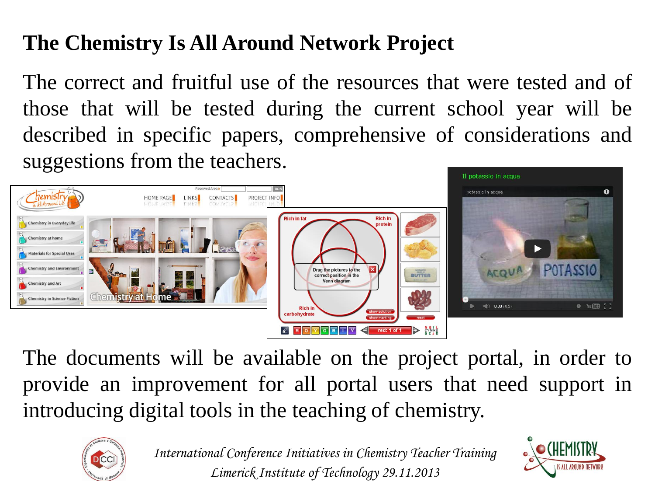#### **The Chemistry Is All Around Network Project**

The correct and fruitful use of the resources that were tested and of those that will be tested during the current school year will be described in specific papers, comprehensive of considerations and suggestions from the teachers.



The documents will be available on the project portal, in order to provide an improvement for all portal users that need support in introducing digital tools in the teaching of chemistry.



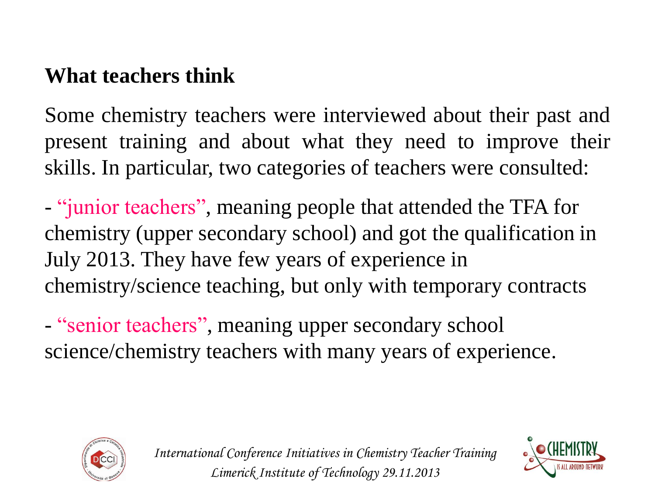#### **What teachers think**

Some chemistry teachers were interviewed about their past and present training and about what they need to improve their skills. In particular, two categories of teachers were consulted:

- "junior teachers", meaning people that attended the TFA for chemistry (upper secondary school) and got the qualification in July 2013. They have few years of experience in chemistry/science teaching, but only with temporary contracts

- "senior teachers", meaning upper secondary school science/chemistry teachers with many years of experience.





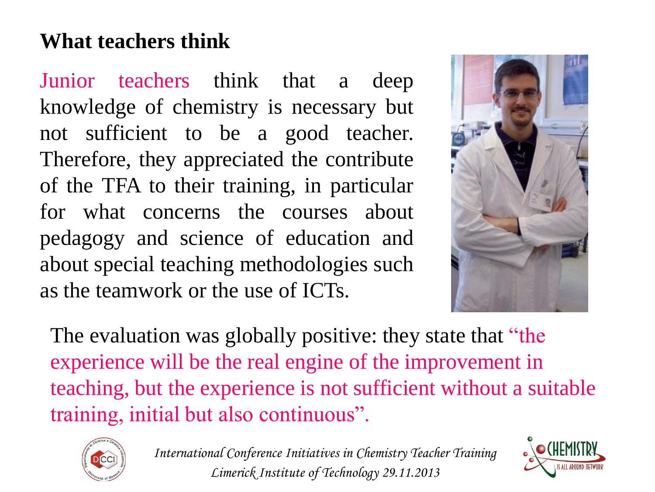#### **What teachers think**

Junior teachers think that a deep knowledge of chemistry is necessary but not sufficient to be a good teacher. Therefore, they appreciated the contribute of the TFA to their training, in particular for what concerns the courses about pedagogy and science of education and about special teaching methodologies such as the teamwork or the use of ICTs.



The evaluation was globally positive: they state that "the experience will be the real engine of the improvement in teaching, but the experience is not sufficient without a suitable training, initial but also continuous".



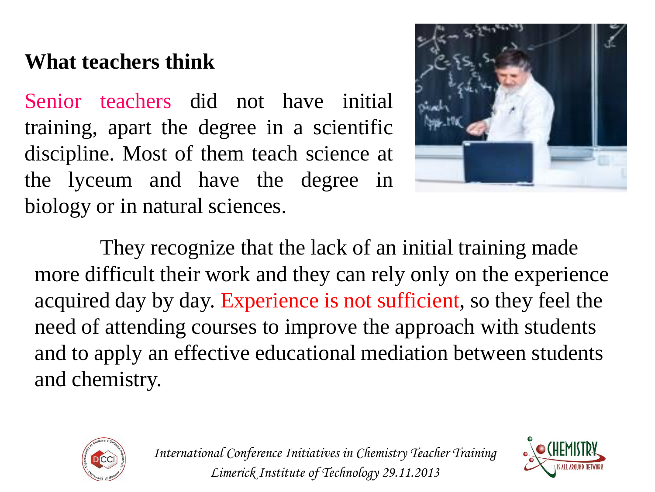#### **What teachers think**

Senior teachers did not have initial training, apart the degree in a scientific discipline. Most of them teach science at the lyceum and have the degree in biology or in natural sciences.



They recognize that the lack of an initial training made more difficult their work and they can rely only on the experience acquired day by day. Experience is not sufficient, so they feel the need of attending courses to improve the approach with students and to apply an effective educational mediation between students and chemistry.



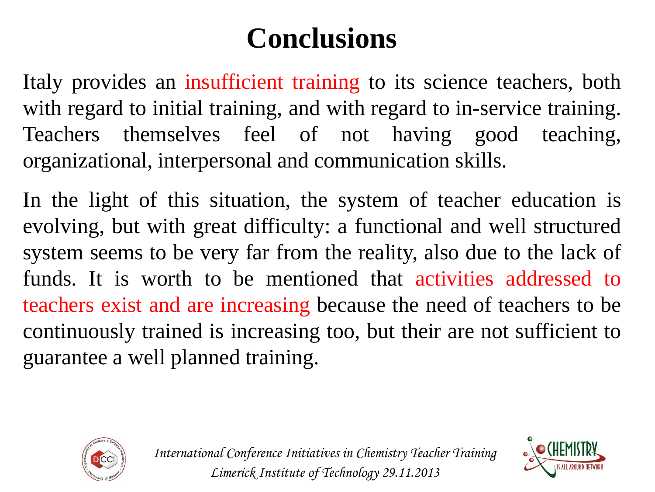# **Conclusions**

Italy provides an insufficient training to its science teachers, both with regard to initial training, and with regard to in-service training. Teachers themselves feel of not having good teaching, organizational, interpersonal and communication skills.

In the light of this situation, the system of teacher education is evolving, but with great difficulty: a functional and well structured system seems to be very far from the reality, also due to the lack of funds. It is worth to be mentioned that activities addressed to teachers exist and are increasing because the need of teachers to be continuously trained is increasing too, but their are not sufficient to guarantee a well planned training.